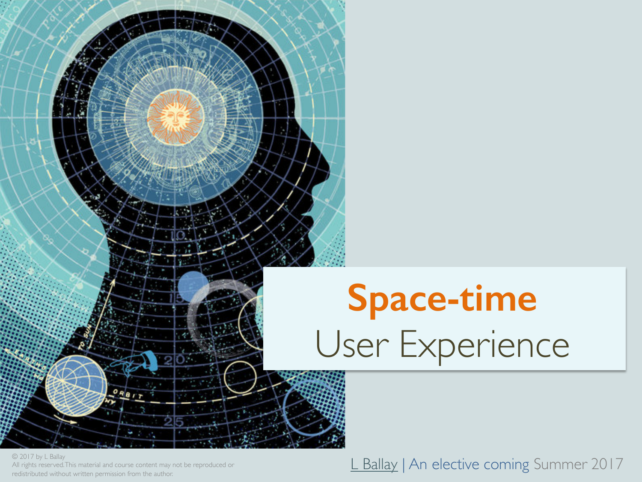

© 2017 by L Ballay All rights reserved. This material and course content may not be reproduced or

#### We 2017 by L Ballay<br>All rights reserved.This material and course content may not be reproduced or<br>redistributed without written permission from the author.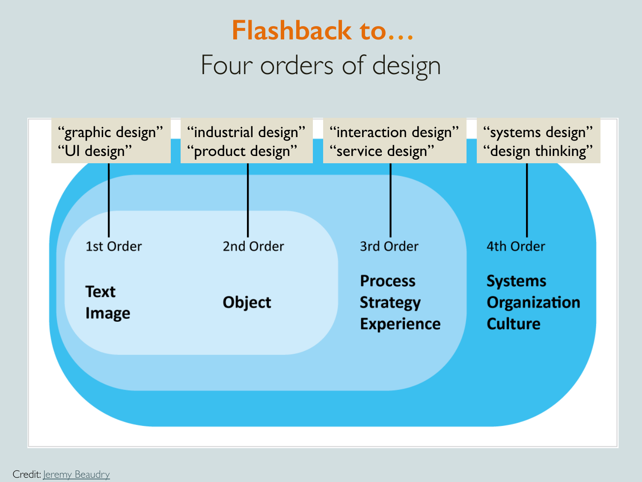### Four orders of design **Flashback to…**



Credit: Jeremy Beaudry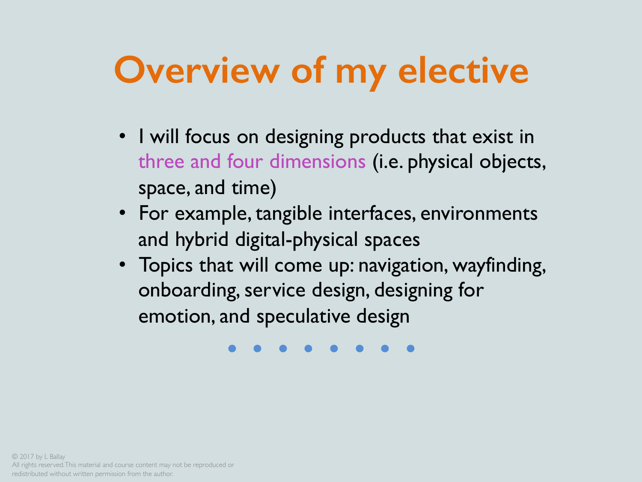## **Overview of my elective**

- I will focus on designing products that exist in three and four dimensions (i.e. physical objects, space, and time)
- For example, tangible interfaces, environments and hybrid digital-physical spaces
- emotion, and speculative design<br>
•••••••••••••••• • Topics that will come up: navigation, wayfinding, onboarding, service design, designing for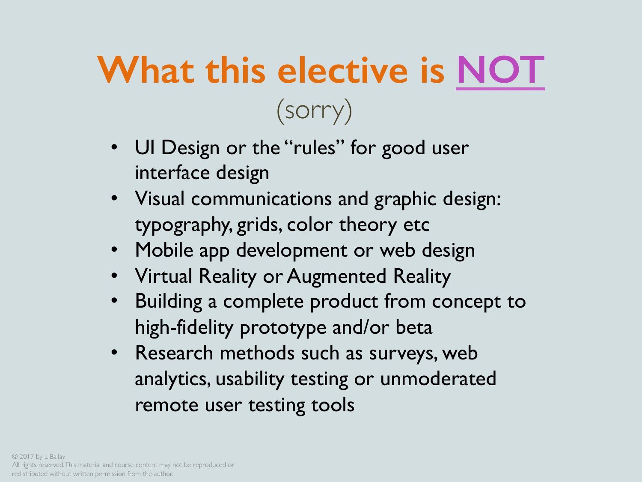## **What this elective is NOT** (sorry)

- UI Design or the "rules" for good user interface design
- Visual communications and graphic design: typography, grids, color theory etc
- Mobile app development or web design
- Virtual Reality or Augmented Reality
- Building a complete product from concept to high-fidelity prototype and/or beta
- Research methods such as surveys, web analytics, usability testing or unmoderated remote user testing tools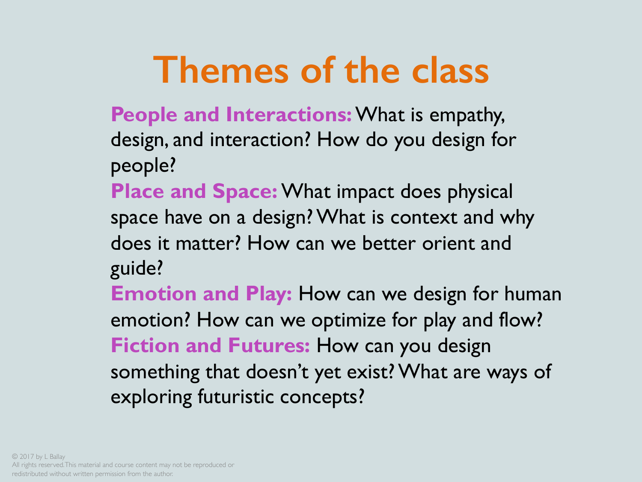### **Themes of the class**

**People and Interactions:**What is empathy, design, and interaction? How do you design for people?

**Place and Space:** What impact does physical space have on a design? What is context and why does it matter? How can we better orient and guide?

**Emotion and Play:** How can we design for human emotion? How can we optimize for play and flow? **Fiction and Futures:** How can you design something that doesn't yet exist? What are ways of exploring futuristic concepts?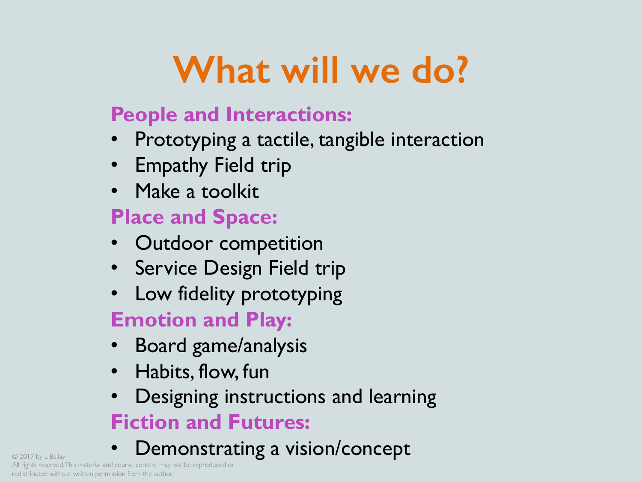# **What will we do?**

#### **People and Interactions:**

- Prototyping a tactile, tangible interaction
- Empathy Field trip
- Make a toolkit

#### **Place and Space:**

- Outdoor competition
- Service Design Field trip
- Low fidelity prototyping

### **Emotion and Play:**

- Board game/analysis
- Habits, flow, fun
- Designing instructions and learning **Fiction and Futures:**
- **Example a vision/concept** © 2017 by L Ballay **Concept**

All rights reserved. This material and course content may not be reproduced or redistributed without written permission from the author.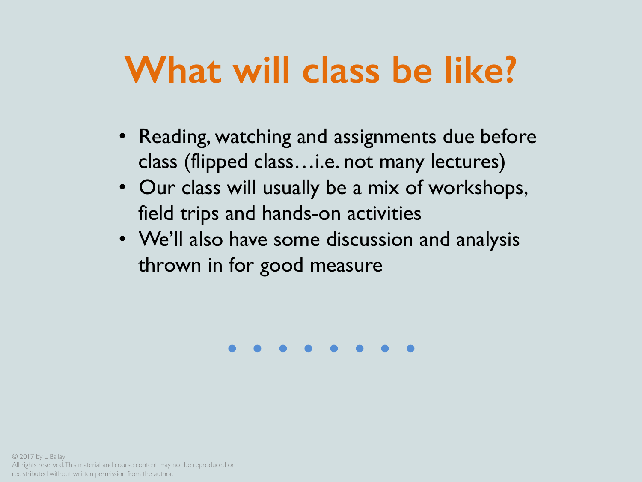## **What will class be like?**

- Reading, watching and assignments due before class (flipped class…i.e. not many lectures)
- Our class will usually be a mix of workshops, field trips and hands-on activities
- We'll also have some discussion and analysis thrown in for good measure

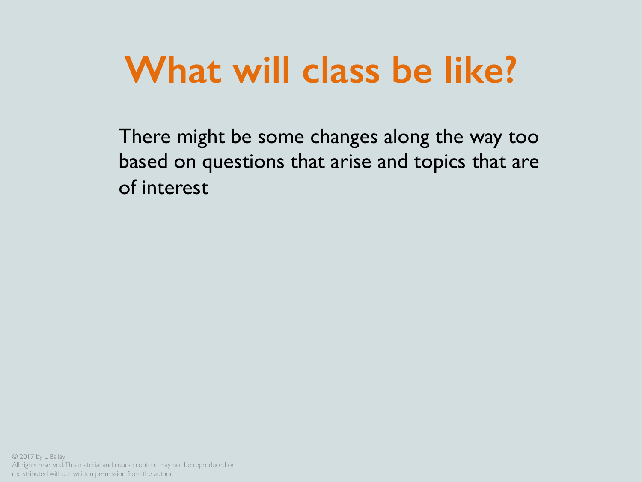### **What will class be like?**

There might be some changes along the way too based on questions that arise and topics that are of interest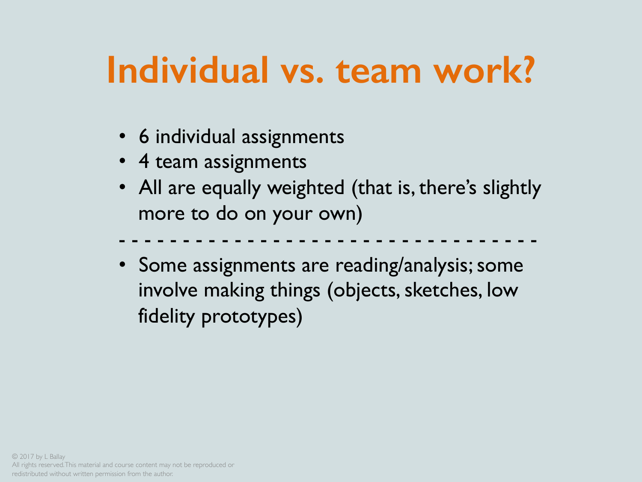## **Individual vs. team work?**

- 6 individual assignments
- 4 team assignments
- All are equally weighted (that is, there's slightly more to do on your own)
- - - - - - - - - - - - - - - - - -
- Some assignments are reading/analysis; some involve making things (objects, sketches, low fidelity prototypes)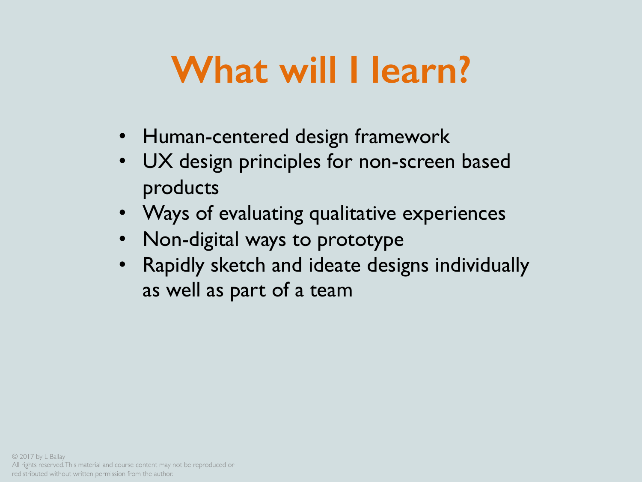### **What will I learn?**

- Human-centered design framework
- UX design principles for non-screen based products
- Ways of evaluating qualitative experiences
- Non-digital ways to prototype
- Rapidly sketch and ideate designs individually as well as part of a team